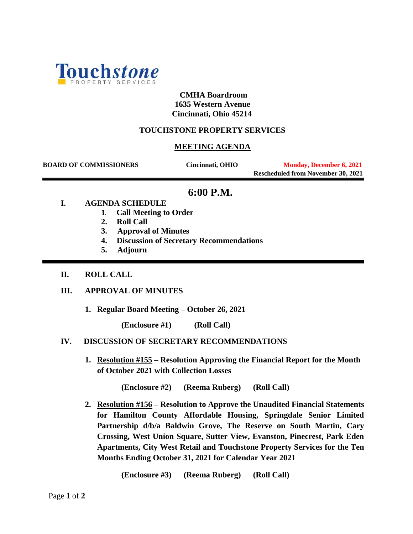

## **CMHA Boardroom 1635 Western Avenue Cincinnati, Ohio 45214**

# **TOUCHSTONE PROPERTY SERVICES**

## **MEETING AGENDA**

**BOARD OF COMMISSIONERS** Cincinnati, OHIO Monday, December 6, 2021  **Rescheduled from November 30, 2021**

# **6:00 P.M.**

#### **I. AGENDA SCHEDULE**

- **1. Call Meeting to Order**
- **2. Roll Call**
- **3. Approval of Minutes**
- **4. Discussion of Secretary Recommendations**
- **5. Adjourn**
- **II. ROLL CALL**

## **III. APPROVAL OF MINUTES**

**1. Regular Board Meeting – October 26, 2021** 

**(Enclosure #1) (Roll Call)**

## **IV. DISCUSSION OF SECRETARY RECOMMENDATIONS**

**1. Resolution #155 – Resolution Approving the Financial Report for the Month of October 2021 with Collection Losses**

**(Enclosure #2) (Reema Ruberg) (Roll Call)**

**2. Resolution #156 – Resolution to Approve the Unaudited Financial Statements for Hamilton County Affordable Housing, Springdale Senior Limited Partnership d/b/a Baldwin Grove, The Reserve on South Martin, Cary Crossing, West Union Square, Sutter View, Evanston, Pinecrest, Park Eden Apartments, City West Retail and Touchstone Property Services for the Ten Months Ending October 31, 2021 for Calendar Year 2021**

**(Enclosure #3) (Reema Ruberg) (Roll Call)**